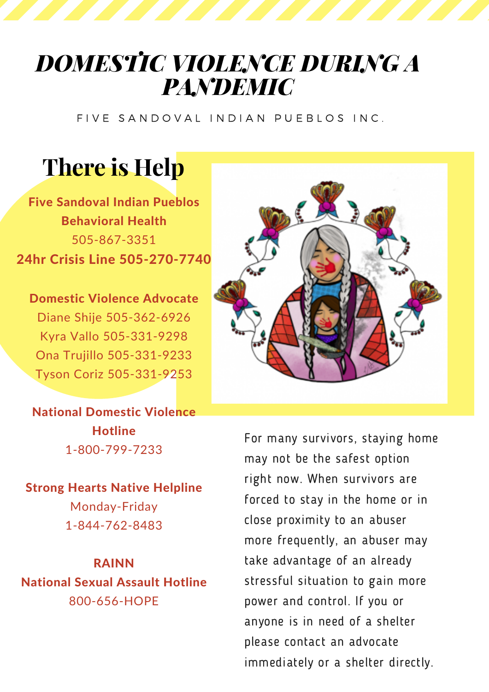## *DOMESTIC VIOLENCE DURING A PANDEMIC*

FIVE SANDOVAL INDIAN PUEBLOS INC.

## **There is Help**

Five Sandoval Indian Pueblos Behavioral Health 505-867-3351 24hr Crisis Line 505-270-7740

Domestic Violence Advocate Diane Shije 505-362-6926 Kyra Vallo 505-331-9298 Ona Trujillo 505-331-9233 Tyson Coriz 505-331-9253

National Domestic Violence **Hotline** 1-800-799-7233

Strong Hearts Native Helpline Monday-Friday 1-844-762-8483

RAINN National Sexual Assault Hotline 800-656-HOPE



For many survivors, staying home may not be the safest option right now. When survivors are forced to stay in the home or in close proximity to an abuser more frequently, an abuser may take advantage of an already stressful situation to gain more power and control. If you or anyone is in need of a shelter please contact an advocate immediately or a shelter directly.